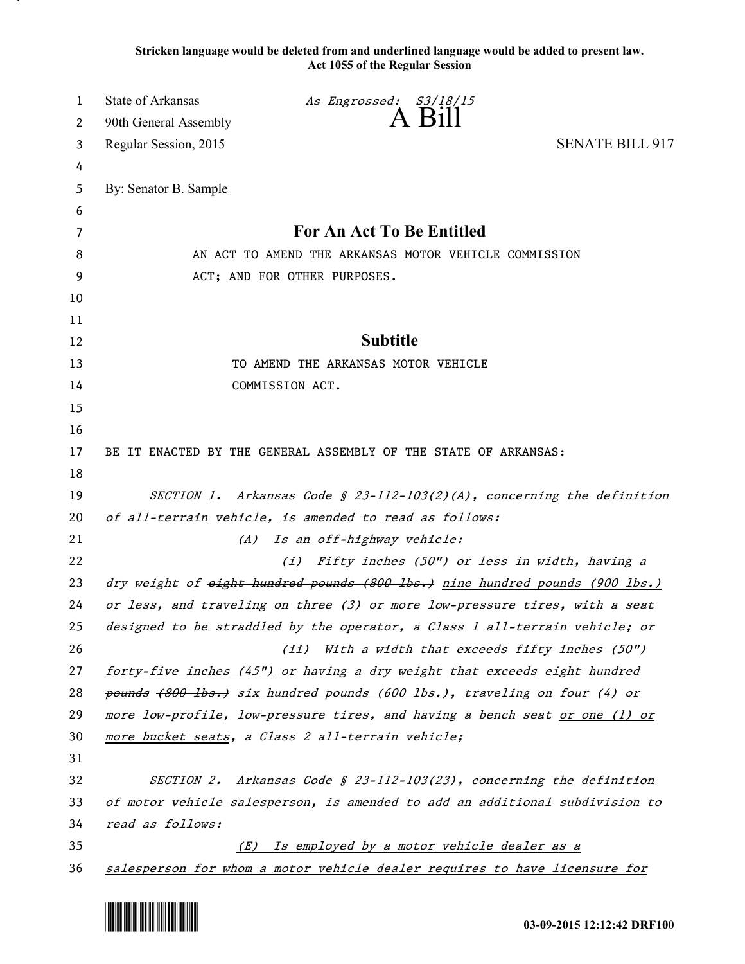**Stricken language would be deleted from and underlined language would be added to present law. Act 1055 of the Regular Session**

| 1        | <b>State of Arkansas</b>                              | As Engrossed: S3/18/15                                                                                                   |                                                                        |
|----------|-------------------------------------------------------|--------------------------------------------------------------------------------------------------------------------------|------------------------------------------------------------------------|
| 2        | 90th General Assembly                                 | $A$ $B$ <sub>1</sub>                                                                                                     |                                                                        |
| 3        | Regular Session, 2015                                 |                                                                                                                          | <b>SENATE BILL 917</b>                                                 |
| 4        |                                                       |                                                                                                                          |                                                                        |
| 5        | By: Senator B. Sample                                 |                                                                                                                          |                                                                        |
| 6        |                                                       |                                                                                                                          |                                                                        |
| 7        |                                                       | For An Act To Be Entitled                                                                                                |                                                                        |
| 8        | AN ACT TO AMEND THE ARKANSAS MOTOR VEHICLE COMMISSION |                                                                                                                          |                                                                        |
| 9        |                                                       | ACT; AND FOR OTHER PURPOSES.                                                                                             |                                                                        |
| 10       |                                                       |                                                                                                                          |                                                                        |
| 11       |                                                       |                                                                                                                          |                                                                        |
| 12       |                                                       | <b>Subtitle</b>                                                                                                          |                                                                        |
| 13       |                                                       | TO AMEND THE ARKANSAS MOTOR VEHICLE                                                                                      |                                                                        |
| 14       |                                                       | COMMISSION ACT.                                                                                                          |                                                                        |
| 15       |                                                       |                                                                                                                          |                                                                        |
| 16       |                                                       |                                                                                                                          |                                                                        |
| 17       |                                                       | BE IT ENACTED BY THE GENERAL ASSEMBLY OF THE STATE OF ARKANSAS:                                                          |                                                                        |
| 18       |                                                       |                                                                                                                          |                                                                        |
| 19       |                                                       |                                                                                                                          | SECTION 1. Arkansas Code § 23-112-103(2)(A), concerning the definition |
| 20       |                                                       | of all-terrain vehicle, is amended to read as follows:                                                                   |                                                                        |
| 21       | (A)                                                   | Is an off-highway vehicle:                                                                                               |                                                                        |
| 22       |                                                       | (i) Fifty inches (50") or less in width, having a                                                                        |                                                                        |
| 23       |                                                       | dry weight of eight hundred pounds (800 lbs.) nine hundred pounds (900 lbs.)                                             |                                                                        |
| 24       |                                                       | or less, and traveling on three (3) or more low-pressure tires, with a seat                                              |                                                                        |
| 25       |                                                       | designed to be straddled by the operator, a Class 1 all-terrain vehicle; or                                              |                                                                        |
| 26       |                                                       | (ii) With a width that exceeds fifty inches (50")                                                                        |                                                                        |
| 27       |                                                       | forty-five inches (45") or having a dry weight that exceeds eight hundred                                                |                                                                        |
| 28       |                                                       | pounds (800 lbs.) six hundred pounds (600 lbs.), traveling on four (4) or                                                |                                                                        |
| 29       |                                                       | more low-profile, low-pressure tires, and having a bench seat or one (1) or                                              |                                                                        |
| 30       |                                                       | more bucket seats, a Class 2 all-terrain vehicle;                                                                        |                                                                        |
| 31       |                                                       |                                                                                                                          |                                                                        |
| 32       |                                                       | SECTION 2. Arkansas Code § 23-112-103(23), concerning the definition                                                     |                                                                        |
| 33       | read as follows:                                      | of motor vehicle salesperson, is amended to add an additional subdivision to                                             |                                                                        |
| 34       | (E)                                                   |                                                                                                                          |                                                                        |
| 35<br>36 |                                                       | Is employed by a motor vehicle dealer as a<br>salesperson for whom a motor vehicle dealer requires to have licensure for |                                                                        |
|          |                                                       |                                                                                                                          |                                                                        |

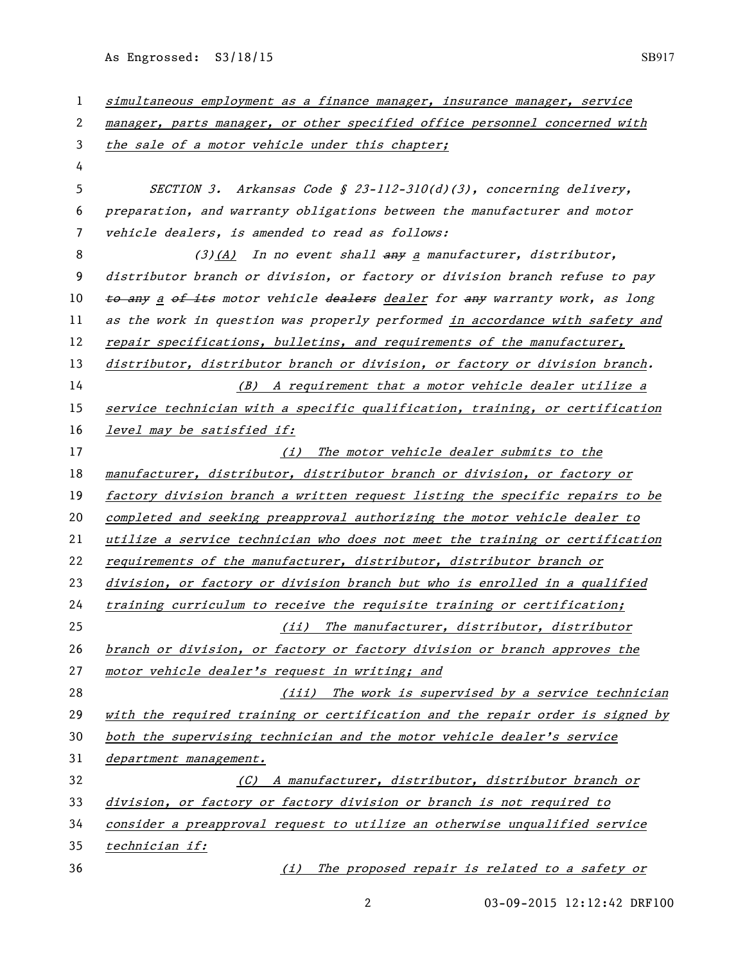As Engrossed: S3/18/15 SB917

 simultaneous employment as a finance manager, insurance manager, service manager, parts manager, or other specified office personnel concerned with 3 the sale of a motor vehicle under this chapter; SECTION 3. Arkansas Code § 23-112-310(d)(3), concerning delivery, preparation, and warranty obligations between the manufacturer and motor vehicle dealers, is amended to read as follows: 8 (3)(A) In no event shall any a manufacturer, distributor, distributor branch or division, or factory or division branch refuse to pay 10 to any a of its motor vehicle dealers dealer for any warranty work, as long as the work in question was properly performed in accordance with safety and 12 repair specifications, bulletins, and requirements of the manufacturer, distributor, distributor branch or division, or factory or division branch. (B) A requirement that a motor vehicle dealer utilize a service technician with a specific qualification, training, or certification level may be satisfied if: 17 (i) The motor vehicle dealer submits to the manufacturer, distributor, distributor branch or division, or factory or factory division branch a written request listing the specific repairs to be completed and seeking preapproval authorizing the motor vehicle dealer to utilize a service technician who does not meet the training or certification requirements of the manufacturer, distributor, distributor branch or division, or factory or division branch but who is enrolled in a qualified training curriculum to receive the requisite training or certification; (ii) The manufacturer, distributor, distributor branch or division, or factory or factory division or branch approves the 27 motor vehicle dealer's request in writing; and (iii) The work is supervised by a service technician with the required training or certification and the repair order is signed by 30 both the supervising technician and the motor vehicle dealer's service department management. (C) A manufacturer, distributor, distributor branch or division, or factory or factory division or branch is not required to consider a preapproval request to utilize an otherwise unqualified service technician if: (i) The proposed repair is related to a safety or

03-09-2015 12:12:42 DRF100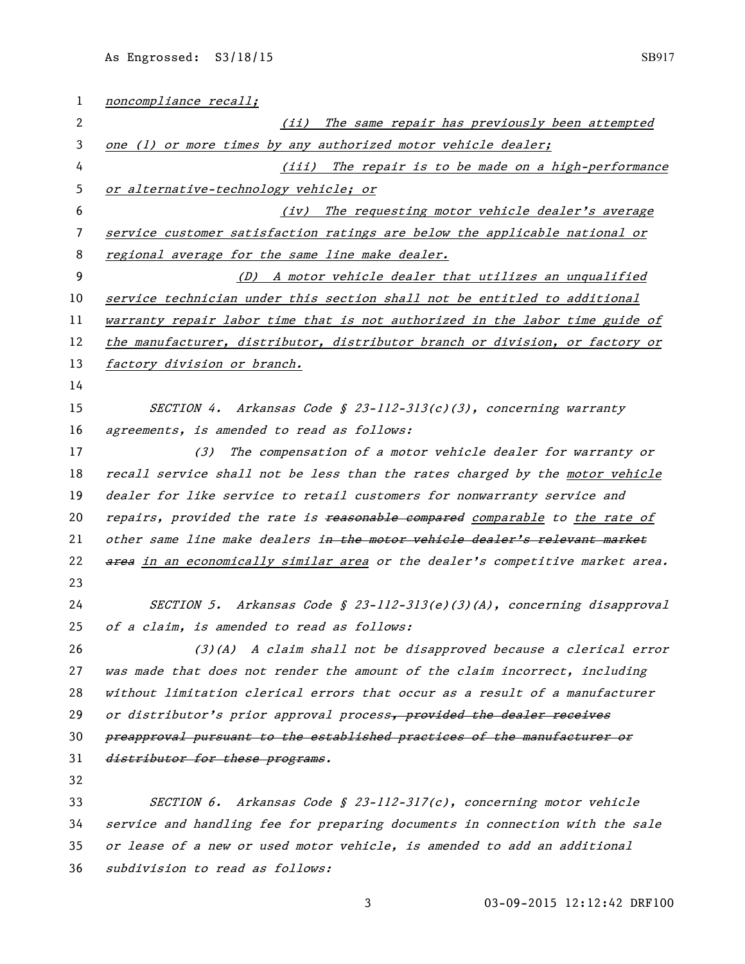| $\mathbf{1}$ | noncompliance recall;                                                         |  |  |
|--------------|-------------------------------------------------------------------------------|--|--|
| 2            | (ii) The same repair has previously been attempted                            |  |  |
| 3            | one (1) or more times by any authorized motor vehicle dealer;                 |  |  |
| 4            | (iii) The repair is to be made on a high-performance                          |  |  |
| 5            | or alternative-technology vehicle; or                                         |  |  |
| 6            | The requesting motor vehicle dealer's average<br>(iv)                         |  |  |
| 7            | service customer satisfaction ratings are below the applicable national or    |  |  |
| 8            | regional average for the same line make dealer.                               |  |  |
| 9            | (D) A motor vehicle dealer that utilizes an unqualified                       |  |  |
| 10           | service technician under this section shall not be entitled to additional     |  |  |
| 11           | warranty repair labor time that is not authorized in the labor time guide of  |  |  |
| 12           | the manufacturer, distributor, distributor branch or division, or factory or  |  |  |
| 13           | factory division or branch.                                                   |  |  |
| 14           |                                                                               |  |  |
| 15           | SECTION 4. Arkansas Code § 23-112-313(c)(3), concerning warranty              |  |  |
| 16           | agreements, is amended to read as follows:                                    |  |  |
| 17           | The compensation of a motor vehicle dealer for warranty or<br>(3)             |  |  |
| 18           | recall service shall not be less than the rates charged by the motor vehicle  |  |  |
| 19           | dealer for like service to retail customers for nonwarranty service and       |  |  |
| 20           | repairs, provided the rate is reasonable compared comparable to the rate of   |  |  |
| 21           | other same line make dealers in the motor vehicle dealer's relevant market    |  |  |
| 22           | area in an economically similar area or the dealer's competitive market area. |  |  |
| 23           |                                                                               |  |  |
| 24           | SECTION 5. Arkansas Code § 23-112-313(e)(3)(A), concerning disapproval        |  |  |
| 25           | of a claim, is amended to read as follows:                                    |  |  |
| 26           | $(3)(A)$ A claim shall not be disapproved because a clerical error            |  |  |
| 27           | was made that does not render the amount of the claim incorrect, including    |  |  |
| 28           | without limitation clerical errors that occur as a result of a manufacturer   |  |  |
| 29           | or distributor's prior approval process, provided the dealer receives         |  |  |
| 30           | preapproval pursuant to the established practices of the manufacturer or      |  |  |
| 31           | distributor for these programs.                                               |  |  |
| 32           |                                                                               |  |  |
| 33           | SECTION 6. Arkansas Code § 23-112-317(c), concerning motor vehicle            |  |  |
| 34           | service and handling fee for preparing documents in connection with the sale  |  |  |
| 35           | or lease of a new or used motor vehicle, is amended to add an additional      |  |  |
| 36           | subdivision to read as follows:                                               |  |  |